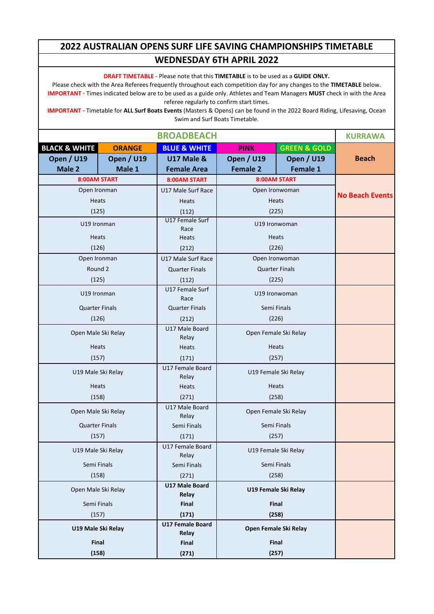**DRAFT TIMETABLE** - Please note that this **TIMETABLE** is to be used as a **GUIDE ONLY.**

Please check with the Area Referees frequently throughout each competition day for any changes to the **TIMETABLE** below. **IMPORTANT** - Times indicated below are to be used as a guide only. Athletes and Team Managers **MUST** check in with the Area referee regularly to confirm start times.

|                          | <b>KURRAWA</b>        |                           |                       |                         |                        |
|--------------------------|-----------------------|---------------------------|-----------------------|-------------------------|------------------------|
| <b>BLACK &amp; WHITE</b> | <b>ORANGE</b>         | <b>BLUE &amp; WHITE</b>   | <b>PINK</b>           | <b>GREEN &amp; GOLD</b> |                        |
| <b>Open / U19</b>        | <b>Open / U19</b>     |                           | <b>Open / U19</b>     | <b>Open / U19</b>       | <b>Beach</b>           |
| Male 2                   | Male 1                | <b>Female Area</b>        | <b>Female 2</b>       | Female 1                |                        |
|                          | 8:00AM START          | 8:00AM START              |                       | 8:00AM START            |                        |
|                          | Open Ironman          | U17 Male Surf Race        |                       | Open Ironwoman          | <b>No Beach Events</b> |
|                          | <b>Heats</b>          | Heats                     |                       | <b>Heats</b>            |                        |
|                          | (125)                 | (112)                     |                       | (225)                   |                        |
| U19 Ironman              |                       | U17 Female Surf           |                       | U19 Ironwoman           |                        |
|                          | <b>Heats</b>          | Race<br>Heats             |                       | <b>Heats</b>            |                        |
|                          | (126)                 | (212)                     |                       | (226)                   |                        |
|                          | Open Ironman          | U17 Male Surf Race        |                       | Open Ironwoman          |                        |
|                          | Round 2               | <b>Quarter Finals</b>     |                       | <b>Quarter Finals</b>   |                        |
|                          | (125)                 | (112)                     |                       | (225)                   |                        |
|                          | U19 Ironman           | U17 Female Surf<br>Race   |                       | U19 Ironwoman           |                        |
|                          | <b>Quarter Finals</b> | <b>Quarter Finals</b>     |                       | Semi Finals             |                        |
|                          | (126)                 | (212)                     |                       | (226)                   |                        |
|                          |                       | U17 Male Board            | Open Female Ski Relay |                         |                        |
| Open Male Ski Relay      |                       | Relay                     |                       |                         |                        |
|                          | Heats                 | Heats                     | Heats                 |                         |                        |
|                          | (157)                 | (171)                     | (257)                 |                         |                        |
|                          | U19 Male Ski Relay    | U17 Female Board<br>Relay |                       | U19 Female Ski Relay    |                        |
|                          | Heats                 | Heats                     | <b>Heats</b>          |                         |                        |
|                          | (158)                 | (271)                     |                       | (258)                   |                        |
|                          | Open Male Ski Relay   | U17 Male Board<br>Relay   |                       | Open Female Ski Relay   |                        |
|                          | <b>Quarter Finals</b> | Semi Finals               |                       | Semi Finals             |                        |
| (157)                    |                       | (171)                     |                       | (257)                   |                        |
|                          | U19 Male Ski Relay    | U17 Female Board<br>Relay |                       | U19 Female Ski Relay    |                        |
|                          | Semi Finals           | Semi Finals               |                       | Semi Finals             |                        |
|                          | (158)                 | (271)                     |                       | (258)                   |                        |
|                          | Open Male Ski Relay   | U17 Male Board<br>Relay   |                       | U19 Female Ski Relay    |                        |
| Semi Finals              |                       | Final                     |                       | Final                   |                        |
|                          | (157)                 | (171)                     |                       | (258)                   |                        |
|                          | U19 Male Ski Relay    | U17 Female Board<br>Relay |                       | Open Female Ski Relay   |                        |
|                          | Final                 | Final                     |                       | Final                   |                        |
|                          | (158)                 | (271)                     |                       | (257)                   |                        |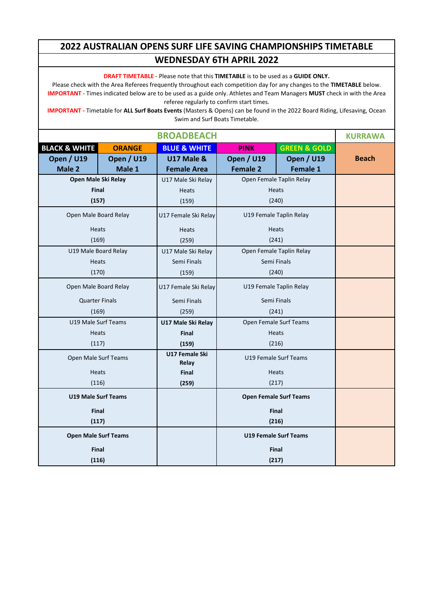**DRAFT TIMETABLE** - Please note that this **TIMETABLE** is to be used as a **GUIDE ONLY.**

Please check with the Area Referees frequently throughout each competition day for any changes to the **TIMETABLE** below. **IMPORTANT** - Times indicated below are to be used as a guide only. Athletes and Team Managers **MUST** check in with the Area referee regularly to confirm start times.

|                          |                             | <b>BROADBEACH</b>       |                              |                               | <b>KURRAWA</b> |
|--------------------------|-----------------------------|-------------------------|------------------------------|-------------------------------|----------------|
| <b>BLACK &amp; WHITE</b> | <b>ORANGE</b>               | <b>BLUE &amp; WHITE</b> | <b>PINK</b>                  | <b>GREEN &amp; GOLD</b>       |                |
| <b>Open / U19</b>        | <b>Open / U19</b>           | <b>U17 Male &amp;</b>   | Open / U19                   | <b>Open / U19</b>             | <b>Beach</b>   |
| Male 2                   | Male 1                      | <b>Female Area</b>      | <b>Female 2</b>              | Female 1                      |                |
|                          | Open Male Ski Relay         | U17 Male Ski Relay      |                              | Open Female Taplin Relay      |                |
|                          | Final                       | <b>Heats</b>            |                              | <b>Heats</b>                  |                |
|                          | (157)                       | (159)                   | (240)                        |                               |                |
|                          | Open Male Board Relay       | U17 Female Ski Relay    | U19 Female Taplin Relay      |                               |                |
|                          | <b>Heats</b>                | Heats                   |                              | <b>Heats</b>                  |                |
| (169)                    |                             | (259)                   | (241)                        |                               |                |
|                          | U19 Male Board Relay        | U17 Male Ski Relay      |                              | Open Female Taplin Relay      |                |
|                          | <b>Heats</b>                | Semi Finals             |                              | Semi Finals                   |                |
|                          | (170)                       | (159)                   | (240)                        |                               |                |
| Open Male Board Relay    |                             | U17 Female Ski Relay    | U19 Female Taplin Relay      |                               |                |
|                          | <b>Quarter Finals</b>       | Semi Finals             | Semi Finals                  |                               |                |
|                          | (169)                       | (259)                   | (241)                        |                               |                |
|                          | U19 Male Surf Teams         | U17 Male Ski Relay      | Open Female Surf Teams       |                               |                |
|                          | <b>Heats</b>                | Final                   |                              | <b>Heats</b>                  |                |
| (117)                    |                             | (159)                   | (216)                        |                               |                |
|                          | Open Male Surf Teams        | U17 Female Ski<br>Relay | U19 Female Surf Teams        |                               |                |
|                          | <b>Heats</b>                | Final                   |                              | <b>Heats</b>                  |                |
|                          | (116)                       | (259)                   | (217)                        |                               |                |
|                          | <b>U19 Male Surf Teams</b>  |                         |                              | <b>Open Female Surf Teams</b> |                |
|                          | <b>Final</b>                |                         |                              | <b>Final</b>                  |                |
|                          | (117)                       |                         | (216)                        |                               |                |
|                          | <b>Open Male Surf Teams</b> |                         | <b>U19 Female Surf Teams</b> |                               |                |
|                          | Final                       |                         |                              | <b>Final</b>                  |                |
|                          | (116)                       |                         | (217)                        |                               |                |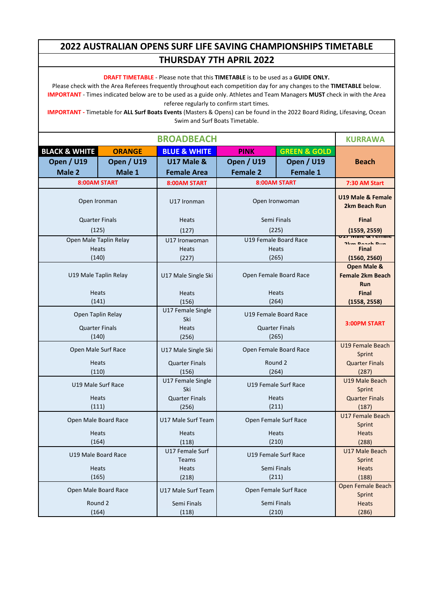**DRAFT TIMETABLE** - Please note that this **TIMETABLE** is to be used as a **GUIDE ONLY.**

Please check with the Area Referees frequently throughout each competition day for any changes to the **TIMETABLE** below. **IMPORTANT** - Times indicated below are to be used as a guide only. Athletes and Team Managers **MUST** check in with the Area referee regularly to confirm start times.

|                              |                        | <b>BROADBEACH</b>            |                                 |                         | <b>KURRAWA</b>                                                  |
|------------------------------|------------------------|------------------------------|---------------------------------|-------------------------|-----------------------------------------------------------------|
| <b>BLACK &amp; WHITE</b>     | <b>ORANGE</b>          | <b>BLUE &amp; WHITE</b>      | <b>PINK</b>                     | <b>GREEN &amp; GOLD</b> |                                                                 |
| <b>Open / U19</b>            | <b>Open / U19</b>      | <b>U17 Male &amp;</b>        | <b>Open / U19</b>               | <b>Open / U19</b>       | <b>Beach</b>                                                    |
| Male 2                       | Male 1                 | <b>Female Area</b>           | <b>Female 2</b>                 | Female 1                |                                                                 |
|                              | 8:00AM START           | 8:00AM START                 |                                 | 8:00AM START            | 7:30 AM Start                                                   |
| Open Ironman                 |                        | U17 Ironman                  |                                 | Open Ironwoman          | <b>U19 Male &amp; Female</b><br>2km Beach Run                   |
| <b>Quarter Finals</b>        |                        | <b>Heats</b>                 |                                 | Semi Finals             | <b>Final</b>                                                    |
|                              | (125)                  | (127)                        |                                 | (225)                   | (1559, 2559)                                                    |
|                              | Open Male Taplin Relay | U17 Ironwoman                |                                 | U19 Female Board Race   |                                                                 |
|                              | Heats                  | Heats                        |                                 | <b>Heats</b>            | <b>Final</b>                                                    |
| (140)                        |                        | (227)                        |                                 | (265)                   | (1560, 2560)                                                    |
|                              | U19 Male Taplin Relay  | U17 Male Single Ski          |                                 | Open Female Board Race  | <b>Open Male &amp;</b><br><b>Female 2km Beach</b><br><b>Run</b> |
|                              | <b>Heats</b>           | <b>Heats</b>                 |                                 | <b>Heats</b>            | <b>Final</b>                                                    |
|                              | (141)                  | (156)                        |                                 | (264)                   | (1558, 2558)                                                    |
| Open Taplin Relay            |                        | U17 Female Single<br>Ski     | U19 Female Board Race           |                         | 3:00PM START                                                    |
| <b>Quarter Finals</b>        |                        | <b>Heats</b>                 |                                 | <b>Quarter Finals</b>   |                                                                 |
| (140)<br>Open Male Surf Race |                        | (256)<br>U17 Male Single Ski | (265)<br>Open Female Board Race |                         | U19 Female Beach<br>Sprint                                      |
|                              | <b>Heats</b>           | <b>Quarter Finals</b>        | Round 2                         |                         | <b>Quarter Finals</b>                                           |
|                              | (110)                  | (156)                        | (264)                           |                         | (287)                                                           |
| U19 Male Surf Race           |                        | U17 Female Single<br>Ski     |                                 | U19 Female Surf Race    | U19 Male Beach<br>Sprint                                        |
|                              | Heats                  | <b>Quarter Finals</b>        |                                 | <b>Heats</b>            | <b>Quarter Finals</b>                                           |
| (111)                        |                        | (256)                        |                                 | (211)                   | (187)                                                           |
| Open Male Board Race         |                        | U17 Male Surf Team           |                                 | Open Female Surf Race   | U17 Female Beach                                                |
|                              |                        |                              |                                 |                         | Sprint                                                          |
| (164)                        | Heats                  | Heats                        | <b>Heats</b><br>(210)           |                         | <b>Heats</b>                                                    |
|                              |                        | (118)<br>U17 Female Surf     |                                 |                         | (288)<br>U17 Male Beach                                         |
|                              | U19 Male Board Race    | Teams                        |                                 | U19 Female Surf Race    | Sprint                                                          |
| Heats                        |                        | Heats                        |                                 | Semi Finals             | Heats                                                           |
|                              | (165)                  | (218)                        |                                 | (211)                   | (188)                                                           |
| Open Male Board Race         |                        | U17 Male Surf Team           | Open Female Surf Race           |                         | Open Female Beach<br>Sprint                                     |
|                              | Round 2                | Semi Finals                  |                                 | Semi Finals             | <b>Heats</b>                                                    |
| (164)                        |                        | (118)                        |                                 | (210)                   | (286)                                                           |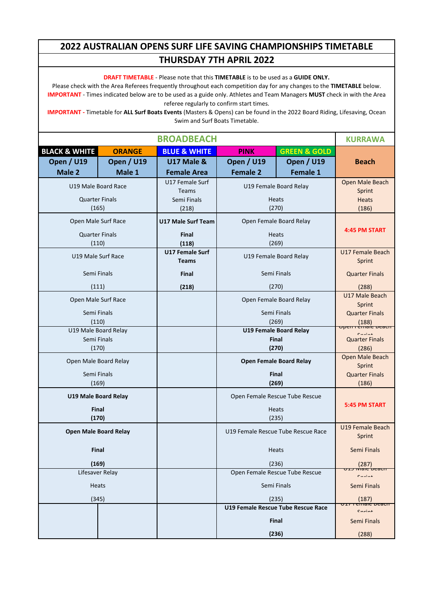**DRAFT TIMETABLE** - Please note that this **TIMETABLE** is to be used as a **GUIDE ONLY.**

Please check with the Area Referees frequently throughout each competition day for any changes to the **TIMETABLE** below. **IMPORTANT** - Times indicated below are to be used as a guide only. Athletes and Team Managers **MUST** check in with the Area referee regularly to confirm start times.

|                          | <b>BROADBEACH</b>              |                             |                                    |                                    |                                                   |  |
|--------------------------|--------------------------------|-----------------------------|------------------------------------|------------------------------------|---------------------------------------------------|--|
| <b>BLACK &amp; WHITE</b> | <b>ORANGE</b>                  | <b>BLUE &amp; WHITE</b>     | <b>PINK</b>                        | <b>GREEN &amp; GOLD</b>            |                                                   |  |
| <b>Open / U19</b>        | <b>Open / U19</b>              | <b>U17 Male &amp;</b>       | <b>Open / U19</b>                  | <b>Open / U19</b>                  | <b>Beach</b>                                      |  |
| Male 2                   | Male 1                         | <b>Female Area</b>          | <b>Female 2</b>                    | Female 1                           |                                                   |  |
|                          | U19 Male Board Race            | U17 Female Surf             |                                    | U19 Female Board Relay             | Open Male Beach                                   |  |
|                          | <b>Quarter Finals</b>          | <b>Teams</b><br>Semi Finals |                                    | <b>Heats</b>                       | Sprint<br><b>Heats</b>                            |  |
|                          | (165)                          | (218)                       |                                    | (270)                              | (186)                                             |  |
|                          | Open Male Surf Race            | <b>U17 Male Surf Team</b>   |                                    | Open Female Board Relay            |                                                   |  |
|                          |                                |                             |                                    |                                    | 4:45 PM START                                     |  |
|                          | <b>Quarter Finals</b><br>(110) | <b>Final</b><br>(118)       |                                    | <b>Heats</b><br>(269)              |                                                   |  |
|                          |                                | U17 Female Surf             |                                    |                                    | U17 Female Beach                                  |  |
|                          | U19 Male Surf Race             | <b>Teams</b>                |                                    | U19 Female Board Relay             | Sprint                                            |  |
|                          | Semi Finals                    | <b>Final</b>                | Semi Finals                        |                                    | <b>Quarter Finals</b>                             |  |
|                          | (111)                          | (218)                       |                                    | (270)                              | (288)                                             |  |
|                          | Open Male Surf Race            |                             |                                    | Open Female Board Relay            | U17 Male Beach                                    |  |
|                          |                                |                             |                                    |                                    | Sprint                                            |  |
|                          | Semi Finals<br>(110)           |                             |                                    | Semi Finals<br>(269)               | <b>Quarter Finals</b><br>(188)                    |  |
| U19 Male Board Relay     |                                |                             |                                    | <b>U19 Female Board Relay</b>      | <del>Open rémaie beau</del><br>$C_{\text{multi}}$ |  |
|                          | Semi Finals                    |                             | <b>Final</b>                       |                                    | <b>Quarter Finals</b>                             |  |
|                          | (170)                          |                             |                                    | (270)                              | (286)                                             |  |
|                          | Open Male Board Relay          |                             | <b>Open Female Board Relay</b>     |                                    | Open Male Beach<br>Sprint                         |  |
|                          | Semi Finals                    |                             | <b>Final</b>                       |                                    | <b>Quarter Finals</b>                             |  |
|                          | (169)                          |                             |                                    | (269)                              | (186)                                             |  |
|                          | <b>U19 Male Board Relay</b>    |                             |                                    | Open Female Rescue Tube Rescue     |                                                   |  |
|                          | <b>Final</b>                   |                             |                                    | <b>Heats</b>                       | 5:45 PM START                                     |  |
|                          | (170)                          |                             |                                    | (235)                              |                                                   |  |
|                          | <b>Open Male Board Relay</b>   |                             |                                    | U19 Female Rescue Tube Rescue Race | U19 Female Beach<br>Sprint                        |  |
|                          | <b>Final</b>                   |                             |                                    | <b>Heats</b>                       | Semi Finals                                       |  |
| (169)                    |                                |                             |                                    | (236)                              | (287)                                             |  |
|                          | Lifesaver Relay                |                             |                                    | Open Female Rescue Tube Rescue     | $C_{\text{multi}}$                                |  |
| Heats                    |                                |                             |                                    | Semi Finals                        | Semi Finals                                       |  |
|                          | (345)                          |                             | (235)                              |                                    | (187)                                             |  |
|                          |                                |                             | U19 Female Rescue Tube Rescue Race |                                    | $C_{\text{multi}}$                                |  |
|                          |                                |                             |                                    | Final                              | Semi Finals                                       |  |
|                          |                                |                             |                                    | (236)                              | (288)                                             |  |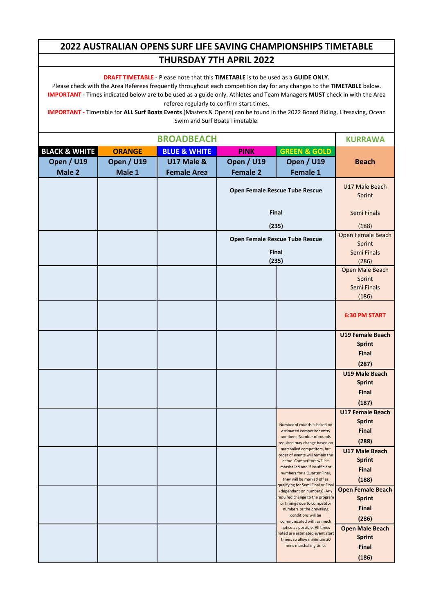**DRAFT TIMETABLE** - Please note that this **TIMETABLE** is to be used as a **GUIDE ONLY.**

Please check with the Area Referees frequently throughout each competition day for any changes to the **TIMETABLE** below. **IMPORTANT** - Times indicated below are to be used as a guide only. Athletes and Team Managers **MUST** check in with the Area referee regularly to confirm start times.

|                          | <b>KURRAWA</b>    |                         |                   |                                                                  |                                         |
|--------------------------|-------------------|-------------------------|-------------------|------------------------------------------------------------------|-----------------------------------------|
| <b>BLACK &amp; WHITE</b> | <b>ORANGE</b>     | <b>BLUE &amp; WHITE</b> | <b>PINK</b>       | <b>GREEN &amp; GOLD</b>                                          |                                         |
| <b>Open / U19</b>        | <b>Open / U19</b> | <b>U17 Male &amp;</b>   | <b>Open / U19</b> | <b>Open / U19</b>                                                | <b>Beach</b>                            |
| Male 2                   | Male 1            | <b>Female Area</b>      | <b>Female 2</b>   | Female 1                                                         |                                         |
|                          |                   |                         |                   | Open Female Rescue Tube Rescue                                   | U17 Male Beach<br>Sprint                |
|                          |                   |                         |                   | Final                                                            | Semi Finals                             |
|                          |                   |                         |                   | (235)                                                            | (188)                                   |
|                          |                   |                         |                   | Open Female Rescue Tube Rescue                                   | Open Female Beach<br>Sprint             |
|                          |                   |                         |                   | Final                                                            | Semi Finals                             |
|                          |                   |                         |                   | (235)                                                            | (286)                                   |
|                          |                   |                         |                   |                                                                  | Open Male Beach<br>Sprint               |
|                          |                   |                         |                   |                                                                  | Semi Finals                             |
|                          |                   |                         |                   |                                                                  | (186)                                   |
|                          |                   |                         |                   |                                                                  | <b>6:30 PM START</b>                    |
|                          |                   |                         |                   |                                                                  | <b>U19 Female Beach</b>                 |
|                          |                   |                         |                   |                                                                  | <b>Sprint</b>                           |
|                          |                   |                         |                   |                                                                  | <b>Final</b>                            |
|                          |                   |                         |                   |                                                                  | (287)                                   |
|                          |                   |                         |                   |                                                                  | U19 Male Beach<br><b>Sprint</b>         |
|                          |                   |                         |                   |                                                                  | <b>Final</b>                            |
|                          |                   |                         |                   |                                                                  | (187)                                   |
|                          |                   |                         |                   |                                                                  | <b>U17 Female Beach</b>                 |
|                          |                   |                         |                   |                                                                  | <b>Sprint</b>                           |
|                          |                   |                         |                   | Number of rounds is based on<br>estimated competitor entry       | <b>Final</b>                            |
|                          |                   |                         |                   | numbers. Number of rounds<br>required may change based on        | (288)                                   |
|                          |                   |                         |                   | marshalled competitors, but<br>order of events will remain the   | <b>U17 Male Beach</b>                   |
|                          |                   |                         |                   | same. Competitors will be                                        | <b>Sprint</b>                           |
|                          |                   |                         |                   | marshalled and if insufficient<br>numbers for a Quarter Final,   | <b>Final</b>                            |
|                          |                   |                         |                   | they will be marked off as<br>qualifying for Semi Final or Final | (188)                                   |
|                          |                   |                         |                   | (dependant on numbers). Any                                      | <b>Open Female Beach</b>                |
|                          |                   |                         |                   | required change to the program<br>or timings due to competitor   | <b>Sprint</b>                           |
|                          |                   |                         |                   | numbers or the prevailing<br>conditions will be                  | <b>Final</b>                            |
|                          |                   |                         |                   | communicated with as much                                        | (286)                                   |
|                          |                   |                         |                   | notice as possible. All times<br>noted are estimated event start | <b>Open Male Beach</b><br><b>Sprint</b> |
|                          |                   |                         |                   | times, so allow minimum 20<br>mins marshalling time.             | <b>Final</b>                            |
|                          |                   |                         |                   |                                                                  | (186)                                   |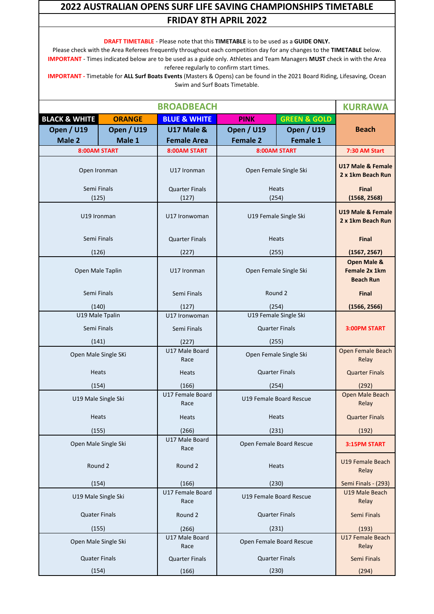**DRAFT TIMETABLE** - Please note that this **TIMETABLE** is to be used as a **GUIDE ONLY.**

Please check with the Area Referees frequently throughout each competition day for any changes to the **TIMETABLE** below. **IMPORTANT** - Times indicated below are to be used as a guide only. Athletes and Team Managers **MUST** check in with the Area referee regularly to confirm start times.

|                          | <b>BROADBEACH</b> |                                |                         |                          |                                                             |  |
|--------------------------|-------------------|--------------------------------|-------------------------|--------------------------|-------------------------------------------------------------|--|
| <b>BLACK &amp; WHITE</b> | <b>ORANGE</b>     | <b>BLUE &amp; WHITE</b>        | <b>PINK</b>             | <b>GREEN &amp; GOLD</b>  |                                                             |  |
| <b>Open / U19</b>        | <b>Open / U19</b> |                                | <b>Open / U19</b>       | <b>Open / U19</b>        | <b>Beach</b>                                                |  |
| Male 2                   | Male 1            | <b>Female Area</b>             | <b>Female 2</b>         | <b>Female 1</b>          |                                                             |  |
| 8:00AM START             |                   | 8:00AM START                   |                         | <b>8:00AM START</b>      | 7:30 AM Start                                               |  |
| Open Ironman             |                   | U17 Ironman                    |                         | Open Female Single Ski   | U17 Male & Female<br>2 x 1km Beach Run                      |  |
| Semi Finals<br>(125)     |                   | <b>Quarter Finals</b><br>(127) | (254)                   | <b>Heats</b>             | <b>Final</b><br>(1568, 2568)                                |  |
| U19 Ironman              |                   | U17 Ironwoman                  |                         | U19 Female Single Ski    | U19 Male & Female<br>2 x 1km Beach Run                      |  |
| Semi Finals              |                   | <b>Quarter Finals</b>          |                         | Heats                    | <b>Final</b>                                                |  |
| (126)                    |                   | (227)                          | (255)                   |                          | (1567, 2567)                                                |  |
| Open Male Taplin         |                   | U17 Ironman                    |                         | Open Female Single Ski   | <b>Open Male &amp;</b><br>Female 2x 1km<br><b>Beach Run</b> |  |
| Semi Finals              |                   | Semi Finals                    |                         | Round 2                  | <b>Final</b>                                                |  |
| (140)                    |                   | (127)                          | (254)                   |                          | (1566, 2566)                                                |  |
| U19 Male Tpalin          |                   | U17 Ironwoman                  |                         | U19 Female Single Ski    |                                                             |  |
| Semi Finals              |                   | Semi Finals                    | <b>Quarter Finals</b>   |                          | 3:00PM START                                                |  |
| (141)                    |                   | (227)                          | (255)                   |                          |                                                             |  |
| Open Male Single SKi     |                   | U17 Male Board<br>Race         | Open Female Single Ski  |                          | Open Female Beach<br>Relay                                  |  |
| <b>Heats</b>             |                   | <b>Heats</b>                   | <b>Quarter Finals</b>   |                          | <b>Quarter Finals</b>                                       |  |
| (154)                    |                   | (166)                          | (254)                   |                          | (292)                                                       |  |
| U19 Male Single Ski      |                   | U17 Female Board<br>Race       | U19 Female Board Rescue |                          | Open Male Beach<br>Relay                                    |  |
| <b>Heats</b>             |                   | Heats                          |                         | Heats                    | <b>Quarter Finals</b>                                       |  |
| (155)                    |                   | (266)                          |                         | (231)                    | (192)                                                       |  |
| Open Male Single Ski     |                   | U17 Male Board<br>Race         |                         | Open Female Board Rescue | 3:15PM START                                                |  |
| Round 2                  |                   | Round 2                        |                         | Heats                    | <b>U19 Female Beach</b><br>Relay                            |  |
| (154)                    |                   | (166)                          |                         | (230)                    | Semi Finals - (293)                                         |  |
| U19 Male Single Ski      |                   | U17 Female Board<br>Race       |                         | U19 Female Board Rescue  | U19 Male Beach<br>Relay                                     |  |
| <b>Quater Finals</b>     |                   | Round 2                        | <b>Quarter Finals</b>   |                          | Semi Finals                                                 |  |
| (155)                    |                   | (266)                          |                         | (231)                    | (193)                                                       |  |
| Open Male Single Ski     |                   | U17 Male Board<br>Race         |                         | Open Female Board Rescue | U17 Female Beach<br>Relay                                   |  |
| <b>Quater Finals</b>     |                   | <b>Quarter Finals</b>          |                         | <b>Quarter Finals</b>    | Semi Finals                                                 |  |
| (154)                    |                   | (166)                          | (230)                   |                          | (294)                                                       |  |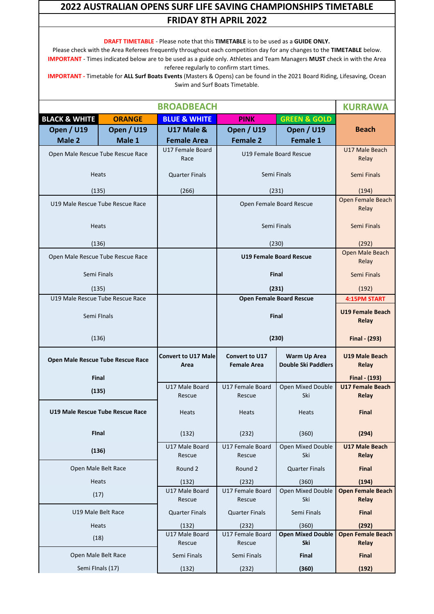**DRAFT TIMETABLE** - Please note that this **TIMETABLE** is to be used as a **GUIDE ONLY.** Please check with the Area Referees frequently throughout each competition day for any changes to the **TIMETABLE** below. **IMPORTANT** - Times indicated below are to be used as a guide only. Athletes and Team Managers **MUST** check in with the Area referee regularly to confirm start times.

|                                           | <b>BROADBEACH</b> |                                    |                                             |                                                   |                                         |  |
|-------------------------------------------|-------------------|------------------------------------|---------------------------------------------|---------------------------------------------------|-----------------------------------------|--|
| <b>BLACK &amp; WHITE</b>                  | <b>ORANGE</b>     | <b>BLUE &amp; WHITE</b>            | <b>PINK</b>                                 | <b>GREEN &amp; GOLD</b>                           |                                         |  |
| <b>Open / U19</b>                         | <b>Open / U19</b> | <b>U17 Male &amp;</b>              | <b>Open / U19</b>                           | <b>Open / U19</b>                                 | <b>Beach</b>                            |  |
| Male 2                                    | Male 1            | <b>Female Area</b>                 | <b>Female 2</b>                             | <b>Female 1</b>                                   |                                         |  |
| Open Male Rescue Tube Rescue Race         |                   | U17 Female Board<br>Race           |                                             | U19 Female Board Rescue                           | U17 Male Beach<br>Relay                 |  |
| <b>Heats</b>                              |                   | <b>Quarter Finals</b>              |                                             | Semi Finals                                       | Semi Finals                             |  |
| (135)                                     |                   | (266)                              |                                             | (231)                                             | (194)                                   |  |
| U19 Male Rescue Tube Rescue Race          |                   |                                    |                                             | Open Female Board Rescue                          | Open Female Beach<br>Relay              |  |
| <b>Heats</b>                              |                   |                                    |                                             | Semi Finals                                       | Semi Finals                             |  |
| (136)                                     |                   |                                    |                                             | (230)                                             | (292)                                   |  |
| Open Male Rescue Tube Rescue Race         |                   |                                    |                                             | <b>U19 Female Board Rescue</b>                    | Open Male Beach<br>Relay                |  |
| Semi Finals                               |                   |                                    |                                             | <b>Final</b>                                      | Semi Finals                             |  |
| (135)<br>U19 Male Rescue Tube Rescue Race |                   |                                    |                                             | (231)                                             | (192)                                   |  |
|                                           |                   |                                    |                                             | <b>Open Female Board Rescue</b>                   | <b>4:15PM START</b>                     |  |
|                                           | Semi FInals       |                                    | <b>Final</b>                                |                                                   | U19 Female Beach<br>Relay               |  |
| (136)                                     |                   |                                    | (230)                                       |                                                   | Final - (293)                           |  |
| Open Male Rescue Tube Rescue Race         |                   | <b>Convert to U17 Male</b><br>Area | <b>Convert to U17</b><br><b>Female Area</b> | <b>Warm Up Area</b><br><b>Double Ski Paddlers</b> | <b>U19 Male Beach</b><br>Relay          |  |
| <b>Final</b>                              |                   |                                    |                                             |                                                   | Final - (193)                           |  |
| (135)                                     |                   | U17 Male Board<br>Rescue           | U17 Female Board<br>Rescue                  | Open Mixed Double<br>Ski                          | <b>U17 Female Beach</b><br><b>Relay</b> |  |
| U19 Male Rescue Tube Rescue Race          |                   | <b>Heats</b>                       | <b>Heats</b>                                | <b>Heats</b>                                      | <b>Final</b>                            |  |
| <b>FInal</b>                              |                   | (132)                              | (232)                                       | (360)                                             | (294)                                   |  |
| (136)                                     |                   | U17 Male Board<br>Rescue           | U17 Female Board<br>Rescue                  | Open Mixed Double<br>Ski                          | <b>U17 Male Beach</b><br>Relay          |  |
| Open Male Belt Race                       |                   | Round 2                            | Round 2                                     | <b>Quarter Finals</b>                             | <b>Final</b>                            |  |
|                                           | Heats             |                                    | (232)                                       | (360)                                             | (194)                                   |  |
|                                           | (17)              |                                    | U17 Female Board                            | Open Mixed Double                                 | <b>Open Female Beach</b>                |  |
|                                           |                   |                                    | Rescue                                      | Ski                                               | Relay                                   |  |
| U19 Male Belt Race                        |                   | <b>Quarter Finals</b>              | <b>Quarter Finals</b>                       | Semi Finals                                       | <b>Final</b>                            |  |
| Heats                                     |                   | (132)                              | (232)                                       | (360)                                             | (292)                                   |  |
| (18)                                      |                   | U17 Male Board<br>Rescue           | U17 Female Board<br>Rescue                  | <b>Open Mixed Double</b><br>Ski                   | <b>Open Female Beach</b><br>Relay       |  |
| Open Male Belt Race                       |                   | Semi Finals                        | Semi Finals                                 | Final                                             | <b>Final</b>                            |  |
| Semi FInals (17)                          |                   | (132)                              | (232)                                       | (360)                                             | (192)                                   |  |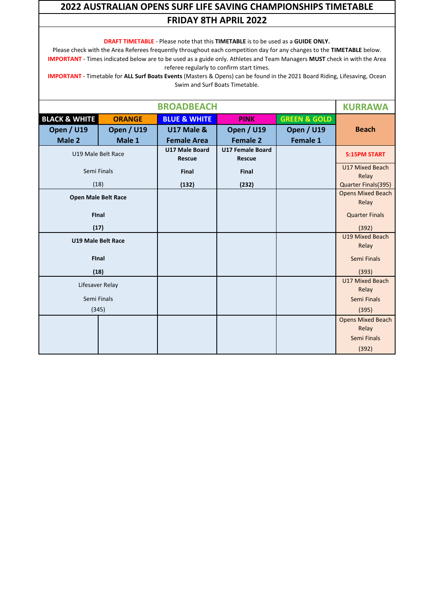**DRAFT TIMETABLE** - Please note that this **TIMETABLE** is to be used as a **GUIDE ONLY.**

Please check with the Area Referees frequently throughout each competition day for any changes to the **TIMETABLE** below. **IMPORTANT** - Times indicated below are to be used as a guide only. Athletes and Team Managers **MUST** check in with the Area referee regularly to confirm start times.

|                            |                    | <b>KURRAWA</b>                         |                                          |                         |                                   |
|----------------------------|--------------------|----------------------------------------|------------------------------------------|-------------------------|-----------------------------------|
| <b>BLACK &amp; WHITE</b>   | <b>ORANGE</b>      | <b>BLUE &amp; WHITE</b>                | <b>PINK</b>                              | <b>GREEN &amp; GOLD</b> |                                   |
| <b>Open / U19</b>          | <b>Open / U19</b>  | <b>U17 Male &amp;</b>                  | <b>Open / U19</b>                        | <b>Open / U19</b>       | <b>Beach</b>                      |
| Male 2                     | Male 1             | <b>Female Area</b>                     | <b>Female 2</b>                          | <b>Female 1</b>         |                                   |
|                            | U19 Male Belt Race | <b>U17 Male Board</b><br><b>Rescue</b> | <b>U17 Female Board</b><br><b>Rescue</b> |                         | <b>5:15PM START</b>               |
|                            | Semi Finals        | Final                                  | Final                                    |                         | U17 Mixed Beach<br>Relay          |
|                            | (18)               | (132)                                  | (232)                                    |                         | Quarter Finals(395)               |
| <b>Open Male Belt Race</b> |                    |                                        |                                          |                         | <b>Opens Mixed Beach</b><br>Relay |
| <b>Final</b>               |                    |                                        |                                          |                         | <b>Quarter Finals</b>             |
| (17)                       |                    |                                        |                                          |                         | (392)                             |
|                            | U19 Male Belt Race |                                        |                                          |                         | U19 Mixed Beach<br>Relay          |
|                            | <b>Final</b>       |                                        |                                          |                         | Semi Finals                       |
|                            | (18)               |                                        |                                          |                         | (393)                             |
|                            | Lifesaver Relay    |                                        |                                          |                         | U17 Mixed Beach<br>Relay          |
|                            | Semi Finals        |                                        |                                          |                         | Semi Finals                       |
|                            | (345)              |                                        |                                          |                         | (395)                             |
|                            |                    |                                        |                                          |                         | <b>Opens Mixed Beach</b>          |
|                            |                    |                                        |                                          |                         | Relay                             |
|                            |                    |                                        |                                          |                         | Semi Finals                       |
|                            |                    |                                        |                                          |                         | (392)                             |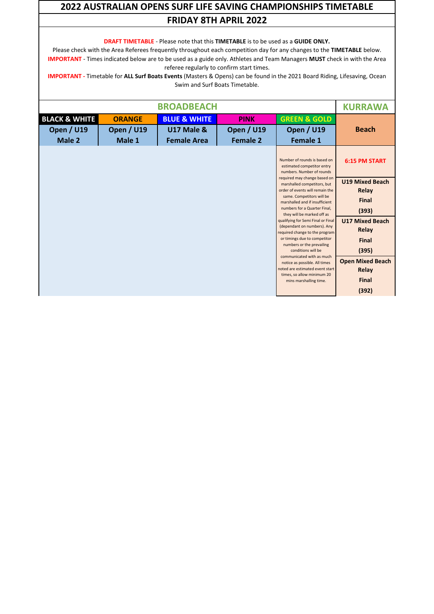**DRAFT TIMETABLE** - Please note that this **TIMETABLE** is to be used as a **GUIDE ONLY.**

Please check with the Area Referees frequently throughout each competition day for any changes to the **TIMETABLE** below. **IMPORTANT** - Times indicated below are to be used as a guide only. Athletes and Team Managers **MUST** check in with the Area referee regularly to confirm start times.

|                                                         |                                              | <b>BROADBEACH</b>                                           |                                              |                                                                                                                                                                                                                                                                                                                                                                                                                                                                                                                                                                                | <b>KURRAWA</b>                                                                                                                                                             |
|---------------------------------------------------------|----------------------------------------------|-------------------------------------------------------------|----------------------------------------------|--------------------------------------------------------------------------------------------------------------------------------------------------------------------------------------------------------------------------------------------------------------------------------------------------------------------------------------------------------------------------------------------------------------------------------------------------------------------------------------------------------------------------------------------------------------------------------|----------------------------------------------------------------------------------------------------------------------------------------------------------------------------|
| <b>BLACK &amp; WHITE</b><br><b>Open / U19</b><br>Male 2 | <b>ORANGE</b><br><b>Open / U19</b><br>Male 1 | <b>BLUE &amp; WHITE</b><br>U17 Male &<br><b>Female Area</b> | <b>PINK</b><br><b>Open / U19</b><br>Female 2 | <b>GREEN &amp; GOLD</b><br><b>Open / U19</b><br><b>Female 1</b>                                                                                                                                                                                                                                                                                                                                                                                                                                                                                                                | <b>Beach</b>                                                                                                                                                               |
|                                                         |                                              |                                                             |                                              | Number of rounds is based on<br>estimated competitor entry<br>numbers. Number of rounds                                                                                                                                                                                                                                                                                                                                                                                                                                                                                        | <b>6:15 PM START</b>                                                                                                                                                       |
|                                                         |                                              |                                                             |                                              | required may change based on<br>marshalled competitors, but<br>order of events will remain the<br>same. Competitors will be<br>marshalled and if insufficient<br>numbers for a Quarter Final,<br>they will be marked off as<br>qualifying for Semi Final or Final<br>(dependant on numbers). Any<br>required change to the program<br>or timings due to competitor<br>numbers or the prevailing<br>conditions will be<br>communicated with as much<br>notice as possible. All times<br>noted are estimated event start<br>times, so allow minimum 20<br>mins marshalling time. | <b>U19 Mixed Beach</b><br>Relay<br>Final<br>(393)<br><b>U17 Mixed Beach</b><br>Relay<br><b>Final</b><br>(395)<br><b>Open Mixed Beach</b><br>Relay<br><b>Final</b><br>(392) |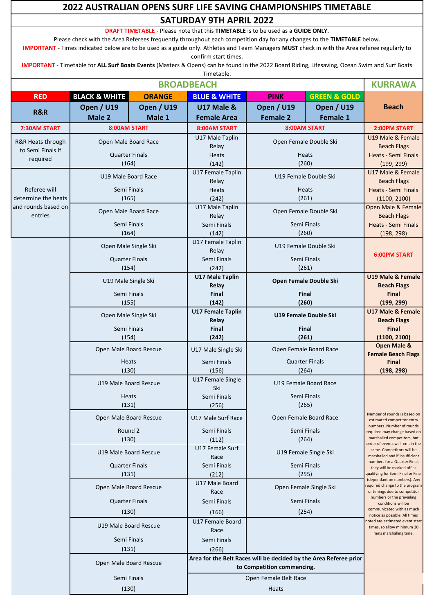| <b>SATURDAY 9TH APRIL 2022</b><br><b>DRAFT TIMETABLE</b> - Please note that this <b>TIMETABLE</b> is to be used as a <b>GUIDE ONLY</b> .<br>Please check with the Area Referees frequently throughout each competition day for any changes to the TIMETABLE below.<br>IMPORTANT - Times indicated below are to be used as a guide only. Athletes and Team Managers MUST check in with the Area referee regularly to<br>confirm start times.<br>IMPORTANT - Timetable for ALL Surf Boats Events (Masters & Opens) can be found in the 2022 Board Riding, Lifesaving, Ocean Swim and Surf Boats<br>Timetable.<br><b>BROADBEACH</b><br><b>KURRAWA</b><br><b>GREEN &amp; GOLD</b><br><b>BLACK &amp; WHITE</b><br><b>ORANGE</b><br><b>BLUE &amp; WHITE</b><br><b>RED</b><br><b>PINK</b><br>Open / U19<br><b>Open / U19</b><br><b>Open / U19</b><br><b>Open / U19</b><br><b>U17 Male &amp;</b><br><b>Beach</b><br>R&R<br>Male 2<br><b>Female 2</b><br>Male 1<br><b>Female Area</b><br><b>Female 1</b><br>8:00AM START<br>8:00AM START<br>7:30AM START<br><b>8:00AM START</b><br>2:00PM START<br>U19 Male & Female<br>U17 Male Taplin<br>Open Male Board Race<br>Open Female Double Ski<br>R&R Heats through<br><b>Beach Flags</b><br>Relay<br>to Semi Finals if<br><b>Quarter Finals</b><br><b>Heats - Semi Finals</b><br><b>Heats</b><br><b>Heats</b><br>required<br>(164)<br>(260)<br>(142)<br>(199, 299)<br>U17 Female Taplin<br>U17 Male & Female<br>U19 Male Board Race<br>U19 Female Double Ski<br>Relay<br><b>Beach Flags</b><br>Referee will<br>Semi Finals<br><b>Heats - Semi Finals</b><br>Heats<br><b>Heats</b><br>determine the heats<br>(165)<br>(242)<br>(261)<br>(1100, 2100)<br>and rounds based on<br>U17 Male Taplin<br>Open Male & Female<br>Open Female Double Ski<br>Open Male Board Race<br>entries<br>Relay<br><b>Beach Flags</b><br>Semi Finals<br>Semi Finals<br><b>Heats - Semi Finals</b><br>Semi Finals<br>(164)<br>(142)<br>(260)<br>(198, 298)<br>U17 Female Taplin<br>U19 Female Double Ski<br>Open Male Single Ski<br>Relay<br><b>6:00PM START</b><br><b>Quarter Finals</b><br>Semi Finals<br>Semi Finals<br>(154)<br>(242)<br>(261)<br><b>U17 Male Taplin</b><br><b>U19 Male &amp; Female</b><br>U19 Male Single Ski<br>Open Female Double Ski<br>Relay<br><b>Beach Flags</b><br>Semi Finals<br>Final<br>Final<br>Final<br>(155)<br>(142)<br>(260)<br>(199, 299)<br><b>U17 Female Taplin</b><br><b>U17 Male &amp; Female</b><br>U19 Female Double Ski<br>Open Male Single Ski<br>Relay<br><b>Beach Flags</b><br>Semi Finals<br>Final<br>Final<br><b>Final</b><br>(154)<br>(261)<br>(242)<br>(1100, 2100)<br><b>Open Male &amp;</b><br>Open Male Board Rescue<br>Open Female Board Race<br>U17 Male Single Ski<br><b>Female Beach Flags</b><br><b>Quarter Finals</b><br>Heats<br>Semi Finals<br><b>Final</b><br>(130)<br>(156)<br>(264)<br>(198, 298)<br>U17 Female Single<br>U19 Male Board Rescue<br>U19 Female Board Race<br>Ski<br>Semi Finals<br>Semi Finals<br>Heats<br>(131)<br>(265)<br>(256)<br>Number of rounds is based on<br>Open Male Board Rescue<br>U17 Male Surf Race<br>Open Female Board Race<br>estimated competitor entry<br>numbers. Number of rounds<br>Round 2<br>Semi Finals<br>Semi Finals<br>equired may change based on<br>marshalled competitors, but<br>(130)<br>(112)<br>(264)<br>order of events will remain the<br>U17 Female Surf<br>same. Competitors will be<br>U19 Male Board Rescue<br>U19 Female Single Ski<br>marshalled and if insufficient<br>Race<br>numbers for a Quarter Final,<br><b>Quarter Finals</b><br>Semi Finals<br>Semi Finals<br>they will be marked off as<br>(131)<br>(212)<br>(255)<br>qualifying for Semi Final or Final<br>(dependant on numbers). Any<br>U17 Male Board<br>equired change to the program<br>Open Male Board Rescue<br>Open Female Single Ski<br>Race<br>or timings due to competitor<br>numbers or the prevailing<br><b>Quarter Finals</b><br>Semi Finals<br>Semi Finals<br>conditions will be<br>communicated with as much<br>(130)<br>(254)<br>(166)<br>notice as possible. All times<br>U17 Female Board<br>noted are estimated event start<br>U19 Male Board Rescue<br>times, so allow minimum 20<br>Race<br>mins marshalling time.<br>Semi Finals<br>Semi Finals<br>(131)<br>(266)<br>Area for the Belt Races will be decided by the Area Referee prior<br>Open Male Board Rescue<br>to Competition commencing.<br>Semi Finals<br>Open Female Belt Race<br>(130)<br>Heats | 2022 AUSTRALIAN OPENS SURF LIFE SAVING CHAMPIONSHIPS TIMETABLE |  |  |  |  |  |  |  |
|-------------------------------------------------------------------------------------------------------------------------------------------------------------------------------------------------------------------------------------------------------------------------------------------------------------------------------------------------------------------------------------------------------------------------------------------------------------------------------------------------------------------------------------------------------------------------------------------------------------------------------------------------------------------------------------------------------------------------------------------------------------------------------------------------------------------------------------------------------------------------------------------------------------------------------------------------------------------------------------------------------------------------------------------------------------------------------------------------------------------------------------------------------------------------------------------------------------------------------------------------------------------------------------------------------------------------------------------------------------------------------------------------------------------------------------------------------------------------------------------------------------------------------------------------------------------------------------------------------------------------------------------------------------------------------------------------------------------------------------------------------------------------------------------------------------------------------------------------------------------------------------------------------------------------------------------------------------------------------------------------------------------------------------------------------------------------------------------------------------------------------------------------------------------------------------------------------------------------------------------------------------------------------------------------------------------------------------------------------------------------------------------------------------------------------------------------------------------------------------------------------------------------------------------------------------------------------------------------------------------------------------------------------------------------------------------------------------------------------------------------------------------------------------------------------------------------------------------------------------------------------------------------------------------------------------------------------------------------------------------------------------------------------------------------------------------------------------------------------------------------------------------------------------------------------------------------------------------------------------------------------------------------------------------------------------------------------------------------------------------------------------------------------------------------------------------------------------------------------------------------------------------------------------------------------------------------------------------------------------------------------------------------------------------------------------------------------------------------------------------------------------------------------------------------------------------------------------------------------------------------------------------------------------------------------------------------------------------------------------------------------------------------------------------------------------------------------------------------------------------------------------------------------------------------------------------------------------------------------------------------------------------------------------------------------------------------------------------------------------------------------------------------------------------------------------------------------------------------------------|----------------------------------------------------------------|--|--|--|--|--|--|--|
|                                                                                                                                                                                                                                                                                                                                                                                                                                                                                                                                                                                                                                                                                                                                                                                                                                                                                                                                                                                                                                                                                                                                                                                                                                                                                                                                                                                                                                                                                                                                                                                                                                                                                                                                                                                                                                                                                                                                                                                                                                                                                                                                                                                                                                                                                                                                                                                                                                                                                                                                                                                                                                                                                                                                                                                                                                                                                                                                                                                                                                                                                                                                                                                                                                                                                                                                                                                                                                                                                                                                                                                                                                                                                                                                                                                                                                                                                                                                                                                                                                                                                                                                                                                                                                                                                                                                                                                                                                                                                     |                                                                |  |  |  |  |  |  |  |
|                                                                                                                                                                                                                                                                                                                                                                                                                                                                                                                                                                                                                                                                                                                                                                                                                                                                                                                                                                                                                                                                                                                                                                                                                                                                                                                                                                                                                                                                                                                                                                                                                                                                                                                                                                                                                                                                                                                                                                                                                                                                                                                                                                                                                                                                                                                                                                                                                                                                                                                                                                                                                                                                                                                                                                                                                                                                                                                                                                                                                                                                                                                                                                                                                                                                                                                                                                                                                                                                                                                                                                                                                                                                                                                                                                                                                                                                                                                                                                                                                                                                                                                                                                                                                                                                                                                                                                                                                                                                                     |                                                                |  |  |  |  |  |  |  |
|                                                                                                                                                                                                                                                                                                                                                                                                                                                                                                                                                                                                                                                                                                                                                                                                                                                                                                                                                                                                                                                                                                                                                                                                                                                                                                                                                                                                                                                                                                                                                                                                                                                                                                                                                                                                                                                                                                                                                                                                                                                                                                                                                                                                                                                                                                                                                                                                                                                                                                                                                                                                                                                                                                                                                                                                                                                                                                                                                                                                                                                                                                                                                                                                                                                                                                                                                                                                                                                                                                                                                                                                                                                                                                                                                                                                                                                                                                                                                                                                                                                                                                                                                                                                                                                                                                                                                                                                                                                                                     |                                                                |  |  |  |  |  |  |  |
|                                                                                                                                                                                                                                                                                                                                                                                                                                                                                                                                                                                                                                                                                                                                                                                                                                                                                                                                                                                                                                                                                                                                                                                                                                                                                                                                                                                                                                                                                                                                                                                                                                                                                                                                                                                                                                                                                                                                                                                                                                                                                                                                                                                                                                                                                                                                                                                                                                                                                                                                                                                                                                                                                                                                                                                                                                                                                                                                                                                                                                                                                                                                                                                                                                                                                                                                                                                                                                                                                                                                                                                                                                                                                                                                                                                                                                                                                                                                                                                                                                                                                                                                                                                                                                                                                                                                                                                                                                                                                     |                                                                |  |  |  |  |  |  |  |
|                                                                                                                                                                                                                                                                                                                                                                                                                                                                                                                                                                                                                                                                                                                                                                                                                                                                                                                                                                                                                                                                                                                                                                                                                                                                                                                                                                                                                                                                                                                                                                                                                                                                                                                                                                                                                                                                                                                                                                                                                                                                                                                                                                                                                                                                                                                                                                                                                                                                                                                                                                                                                                                                                                                                                                                                                                                                                                                                                                                                                                                                                                                                                                                                                                                                                                                                                                                                                                                                                                                                                                                                                                                                                                                                                                                                                                                                                                                                                                                                                                                                                                                                                                                                                                                                                                                                                                                                                                                                                     |                                                                |  |  |  |  |  |  |  |
|                                                                                                                                                                                                                                                                                                                                                                                                                                                                                                                                                                                                                                                                                                                                                                                                                                                                                                                                                                                                                                                                                                                                                                                                                                                                                                                                                                                                                                                                                                                                                                                                                                                                                                                                                                                                                                                                                                                                                                                                                                                                                                                                                                                                                                                                                                                                                                                                                                                                                                                                                                                                                                                                                                                                                                                                                                                                                                                                                                                                                                                                                                                                                                                                                                                                                                                                                                                                                                                                                                                                                                                                                                                                                                                                                                                                                                                                                                                                                                                                                                                                                                                                                                                                                                                                                                                                                                                                                                                                                     |                                                                |  |  |  |  |  |  |  |
|                                                                                                                                                                                                                                                                                                                                                                                                                                                                                                                                                                                                                                                                                                                                                                                                                                                                                                                                                                                                                                                                                                                                                                                                                                                                                                                                                                                                                                                                                                                                                                                                                                                                                                                                                                                                                                                                                                                                                                                                                                                                                                                                                                                                                                                                                                                                                                                                                                                                                                                                                                                                                                                                                                                                                                                                                                                                                                                                                                                                                                                                                                                                                                                                                                                                                                                                                                                                                                                                                                                                                                                                                                                                                                                                                                                                                                                                                                                                                                                                                                                                                                                                                                                                                                                                                                                                                                                                                                                                                     |                                                                |  |  |  |  |  |  |  |
|                                                                                                                                                                                                                                                                                                                                                                                                                                                                                                                                                                                                                                                                                                                                                                                                                                                                                                                                                                                                                                                                                                                                                                                                                                                                                                                                                                                                                                                                                                                                                                                                                                                                                                                                                                                                                                                                                                                                                                                                                                                                                                                                                                                                                                                                                                                                                                                                                                                                                                                                                                                                                                                                                                                                                                                                                                                                                                                                                                                                                                                                                                                                                                                                                                                                                                                                                                                                                                                                                                                                                                                                                                                                                                                                                                                                                                                                                                                                                                                                                                                                                                                                                                                                                                                                                                                                                                                                                                                                                     |                                                                |  |  |  |  |  |  |  |
|                                                                                                                                                                                                                                                                                                                                                                                                                                                                                                                                                                                                                                                                                                                                                                                                                                                                                                                                                                                                                                                                                                                                                                                                                                                                                                                                                                                                                                                                                                                                                                                                                                                                                                                                                                                                                                                                                                                                                                                                                                                                                                                                                                                                                                                                                                                                                                                                                                                                                                                                                                                                                                                                                                                                                                                                                                                                                                                                                                                                                                                                                                                                                                                                                                                                                                                                                                                                                                                                                                                                                                                                                                                                                                                                                                                                                                                                                                                                                                                                                                                                                                                                                                                                                                                                                                                                                                                                                                                                                     |                                                                |  |  |  |  |  |  |  |
|                                                                                                                                                                                                                                                                                                                                                                                                                                                                                                                                                                                                                                                                                                                                                                                                                                                                                                                                                                                                                                                                                                                                                                                                                                                                                                                                                                                                                                                                                                                                                                                                                                                                                                                                                                                                                                                                                                                                                                                                                                                                                                                                                                                                                                                                                                                                                                                                                                                                                                                                                                                                                                                                                                                                                                                                                                                                                                                                                                                                                                                                                                                                                                                                                                                                                                                                                                                                                                                                                                                                                                                                                                                                                                                                                                                                                                                                                                                                                                                                                                                                                                                                                                                                                                                                                                                                                                                                                                                                                     |                                                                |  |  |  |  |  |  |  |
|                                                                                                                                                                                                                                                                                                                                                                                                                                                                                                                                                                                                                                                                                                                                                                                                                                                                                                                                                                                                                                                                                                                                                                                                                                                                                                                                                                                                                                                                                                                                                                                                                                                                                                                                                                                                                                                                                                                                                                                                                                                                                                                                                                                                                                                                                                                                                                                                                                                                                                                                                                                                                                                                                                                                                                                                                                                                                                                                                                                                                                                                                                                                                                                                                                                                                                                                                                                                                                                                                                                                                                                                                                                                                                                                                                                                                                                                                                                                                                                                                                                                                                                                                                                                                                                                                                                                                                                                                                                                                     |                                                                |  |  |  |  |  |  |  |
|                                                                                                                                                                                                                                                                                                                                                                                                                                                                                                                                                                                                                                                                                                                                                                                                                                                                                                                                                                                                                                                                                                                                                                                                                                                                                                                                                                                                                                                                                                                                                                                                                                                                                                                                                                                                                                                                                                                                                                                                                                                                                                                                                                                                                                                                                                                                                                                                                                                                                                                                                                                                                                                                                                                                                                                                                                                                                                                                                                                                                                                                                                                                                                                                                                                                                                                                                                                                                                                                                                                                                                                                                                                                                                                                                                                                                                                                                                                                                                                                                                                                                                                                                                                                                                                                                                                                                                                                                                                                                     |                                                                |  |  |  |  |  |  |  |
|                                                                                                                                                                                                                                                                                                                                                                                                                                                                                                                                                                                                                                                                                                                                                                                                                                                                                                                                                                                                                                                                                                                                                                                                                                                                                                                                                                                                                                                                                                                                                                                                                                                                                                                                                                                                                                                                                                                                                                                                                                                                                                                                                                                                                                                                                                                                                                                                                                                                                                                                                                                                                                                                                                                                                                                                                                                                                                                                                                                                                                                                                                                                                                                                                                                                                                                                                                                                                                                                                                                                                                                                                                                                                                                                                                                                                                                                                                                                                                                                                                                                                                                                                                                                                                                                                                                                                                                                                                                                                     |                                                                |  |  |  |  |  |  |  |
|                                                                                                                                                                                                                                                                                                                                                                                                                                                                                                                                                                                                                                                                                                                                                                                                                                                                                                                                                                                                                                                                                                                                                                                                                                                                                                                                                                                                                                                                                                                                                                                                                                                                                                                                                                                                                                                                                                                                                                                                                                                                                                                                                                                                                                                                                                                                                                                                                                                                                                                                                                                                                                                                                                                                                                                                                                                                                                                                                                                                                                                                                                                                                                                                                                                                                                                                                                                                                                                                                                                                                                                                                                                                                                                                                                                                                                                                                                                                                                                                                                                                                                                                                                                                                                                                                                                                                                                                                                                                                     |                                                                |  |  |  |  |  |  |  |
|                                                                                                                                                                                                                                                                                                                                                                                                                                                                                                                                                                                                                                                                                                                                                                                                                                                                                                                                                                                                                                                                                                                                                                                                                                                                                                                                                                                                                                                                                                                                                                                                                                                                                                                                                                                                                                                                                                                                                                                                                                                                                                                                                                                                                                                                                                                                                                                                                                                                                                                                                                                                                                                                                                                                                                                                                                                                                                                                                                                                                                                                                                                                                                                                                                                                                                                                                                                                                                                                                                                                                                                                                                                                                                                                                                                                                                                                                                                                                                                                                                                                                                                                                                                                                                                                                                                                                                                                                                                                                     |                                                                |  |  |  |  |  |  |  |
|                                                                                                                                                                                                                                                                                                                                                                                                                                                                                                                                                                                                                                                                                                                                                                                                                                                                                                                                                                                                                                                                                                                                                                                                                                                                                                                                                                                                                                                                                                                                                                                                                                                                                                                                                                                                                                                                                                                                                                                                                                                                                                                                                                                                                                                                                                                                                                                                                                                                                                                                                                                                                                                                                                                                                                                                                                                                                                                                                                                                                                                                                                                                                                                                                                                                                                                                                                                                                                                                                                                                                                                                                                                                                                                                                                                                                                                                                                                                                                                                                                                                                                                                                                                                                                                                                                                                                                                                                                                                                     |                                                                |  |  |  |  |  |  |  |
|                                                                                                                                                                                                                                                                                                                                                                                                                                                                                                                                                                                                                                                                                                                                                                                                                                                                                                                                                                                                                                                                                                                                                                                                                                                                                                                                                                                                                                                                                                                                                                                                                                                                                                                                                                                                                                                                                                                                                                                                                                                                                                                                                                                                                                                                                                                                                                                                                                                                                                                                                                                                                                                                                                                                                                                                                                                                                                                                                                                                                                                                                                                                                                                                                                                                                                                                                                                                                                                                                                                                                                                                                                                                                                                                                                                                                                                                                                                                                                                                                                                                                                                                                                                                                                                                                                                                                                                                                                                                                     |                                                                |  |  |  |  |  |  |  |
|                                                                                                                                                                                                                                                                                                                                                                                                                                                                                                                                                                                                                                                                                                                                                                                                                                                                                                                                                                                                                                                                                                                                                                                                                                                                                                                                                                                                                                                                                                                                                                                                                                                                                                                                                                                                                                                                                                                                                                                                                                                                                                                                                                                                                                                                                                                                                                                                                                                                                                                                                                                                                                                                                                                                                                                                                                                                                                                                                                                                                                                                                                                                                                                                                                                                                                                                                                                                                                                                                                                                                                                                                                                                                                                                                                                                                                                                                                                                                                                                                                                                                                                                                                                                                                                                                                                                                                                                                                                                                     |                                                                |  |  |  |  |  |  |  |
|                                                                                                                                                                                                                                                                                                                                                                                                                                                                                                                                                                                                                                                                                                                                                                                                                                                                                                                                                                                                                                                                                                                                                                                                                                                                                                                                                                                                                                                                                                                                                                                                                                                                                                                                                                                                                                                                                                                                                                                                                                                                                                                                                                                                                                                                                                                                                                                                                                                                                                                                                                                                                                                                                                                                                                                                                                                                                                                                                                                                                                                                                                                                                                                                                                                                                                                                                                                                                                                                                                                                                                                                                                                                                                                                                                                                                                                                                                                                                                                                                                                                                                                                                                                                                                                                                                                                                                                                                                                                                     |                                                                |  |  |  |  |  |  |  |
|                                                                                                                                                                                                                                                                                                                                                                                                                                                                                                                                                                                                                                                                                                                                                                                                                                                                                                                                                                                                                                                                                                                                                                                                                                                                                                                                                                                                                                                                                                                                                                                                                                                                                                                                                                                                                                                                                                                                                                                                                                                                                                                                                                                                                                                                                                                                                                                                                                                                                                                                                                                                                                                                                                                                                                                                                                                                                                                                                                                                                                                                                                                                                                                                                                                                                                                                                                                                                                                                                                                                                                                                                                                                                                                                                                                                                                                                                                                                                                                                                                                                                                                                                                                                                                                                                                                                                                                                                                                                                     |                                                                |  |  |  |  |  |  |  |
|                                                                                                                                                                                                                                                                                                                                                                                                                                                                                                                                                                                                                                                                                                                                                                                                                                                                                                                                                                                                                                                                                                                                                                                                                                                                                                                                                                                                                                                                                                                                                                                                                                                                                                                                                                                                                                                                                                                                                                                                                                                                                                                                                                                                                                                                                                                                                                                                                                                                                                                                                                                                                                                                                                                                                                                                                                                                                                                                                                                                                                                                                                                                                                                                                                                                                                                                                                                                                                                                                                                                                                                                                                                                                                                                                                                                                                                                                                                                                                                                                                                                                                                                                                                                                                                                                                                                                                                                                                                                                     |                                                                |  |  |  |  |  |  |  |
|                                                                                                                                                                                                                                                                                                                                                                                                                                                                                                                                                                                                                                                                                                                                                                                                                                                                                                                                                                                                                                                                                                                                                                                                                                                                                                                                                                                                                                                                                                                                                                                                                                                                                                                                                                                                                                                                                                                                                                                                                                                                                                                                                                                                                                                                                                                                                                                                                                                                                                                                                                                                                                                                                                                                                                                                                                                                                                                                                                                                                                                                                                                                                                                                                                                                                                                                                                                                                                                                                                                                                                                                                                                                                                                                                                                                                                                                                                                                                                                                                                                                                                                                                                                                                                                                                                                                                                                                                                                                                     |                                                                |  |  |  |  |  |  |  |
|                                                                                                                                                                                                                                                                                                                                                                                                                                                                                                                                                                                                                                                                                                                                                                                                                                                                                                                                                                                                                                                                                                                                                                                                                                                                                                                                                                                                                                                                                                                                                                                                                                                                                                                                                                                                                                                                                                                                                                                                                                                                                                                                                                                                                                                                                                                                                                                                                                                                                                                                                                                                                                                                                                                                                                                                                                                                                                                                                                                                                                                                                                                                                                                                                                                                                                                                                                                                                                                                                                                                                                                                                                                                                                                                                                                                                                                                                                                                                                                                                                                                                                                                                                                                                                                                                                                                                                                                                                                                                     |                                                                |  |  |  |  |  |  |  |
|                                                                                                                                                                                                                                                                                                                                                                                                                                                                                                                                                                                                                                                                                                                                                                                                                                                                                                                                                                                                                                                                                                                                                                                                                                                                                                                                                                                                                                                                                                                                                                                                                                                                                                                                                                                                                                                                                                                                                                                                                                                                                                                                                                                                                                                                                                                                                                                                                                                                                                                                                                                                                                                                                                                                                                                                                                                                                                                                                                                                                                                                                                                                                                                                                                                                                                                                                                                                                                                                                                                                                                                                                                                                                                                                                                                                                                                                                                                                                                                                                                                                                                                                                                                                                                                                                                                                                                                                                                                                                     |                                                                |  |  |  |  |  |  |  |
|                                                                                                                                                                                                                                                                                                                                                                                                                                                                                                                                                                                                                                                                                                                                                                                                                                                                                                                                                                                                                                                                                                                                                                                                                                                                                                                                                                                                                                                                                                                                                                                                                                                                                                                                                                                                                                                                                                                                                                                                                                                                                                                                                                                                                                                                                                                                                                                                                                                                                                                                                                                                                                                                                                                                                                                                                                                                                                                                                                                                                                                                                                                                                                                                                                                                                                                                                                                                                                                                                                                                                                                                                                                                                                                                                                                                                                                                                                                                                                                                                                                                                                                                                                                                                                                                                                                                                                                                                                                                                     |                                                                |  |  |  |  |  |  |  |
|                                                                                                                                                                                                                                                                                                                                                                                                                                                                                                                                                                                                                                                                                                                                                                                                                                                                                                                                                                                                                                                                                                                                                                                                                                                                                                                                                                                                                                                                                                                                                                                                                                                                                                                                                                                                                                                                                                                                                                                                                                                                                                                                                                                                                                                                                                                                                                                                                                                                                                                                                                                                                                                                                                                                                                                                                                                                                                                                                                                                                                                                                                                                                                                                                                                                                                                                                                                                                                                                                                                                                                                                                                                                                                                                                                                                                                                                                                                                                                                                                                                                                                                                                                                                                                                                                                                                                                                                                                                                                     |                                                                |  |  |  |  |  |  |  |
|                                                                                                                                                                                                                                                                                                                                                                                                                                                                                                                                                                                                                                                                                                                                                                                                                                                                                                                                                                                                                                                                                                                                                                                                                                                                                                                                                                                                                                                                                                                                                                                                                                                                                                                                                                                                                                                                                                                                                                                                                                                                                                                                                                                                                                                                                                                                                                                                                                                                                                                                                                                                                                                                                                                                                                                                                                                                                                                                                                                                                                                                                                                                                                                                                                                                                                                                                                                                                                                                                                                                                                                                                                                                                                                                                                                                                                                                                                                                                                                                                                                                                                                                                                                                                                                                                                                                                                                                                                                                                     |                                                                |  |  |  |  |  |  |  |
|                                                                                                                                                                                                                                                                                                                                                                                                                                                                                                                                                                                                                                                                                                                                                                                                                                                                                                                                                                                                                                                                                                                                                                                                                                                                                                                                                                                                                                                                                                                                                                                                                                                                                                                                                                                                                                                                                                                                                                                                                                                                                                                                                                                                                                                                                                                                                                                                                                                                                                                                                                                                                                                                                                                                                                                                                                                                                                                                                                                                                                                                                                                                                                                                                                                                                                                                                                                                                                                                                                                                                                                                                                                                                                                                                                                                                                                                                                                                                                                                                                                                                                                                                                                                                                                                                                                                                                                                                                                                                     |                                                                |  |  |  |  |  |  |  |
|                                                                                                                                                                                                                                                                                                                                                                                                                                                                                                                                                                                                                                                                                                                                                                                                                                                                                                                                                                                                                                                                                                                                                                                                                                                                                                                                                                                                                                                                                                                                                                                                                                                                                                                                                                                                                                                                                                                                                                                                                                                                                                                                                                                                                                                                                                                                                                                                                                                                                                                                                                                                                                                                                                                                                                                                                                                                                                                                                                                                                                                                                                                                                                                                                                                                                                                                                                                                                                                                                                                                                                                                                                                                                                                                                                                                                                                                                                                                                                                                                                                                                                                                                                                                                                                                                                                                                                                                                                                                                     |                                                                |  |  |  |  |  |  |  |
|                                                                                                                                                                                                                                                                                                                                                                                                                                                                                                                                                                                                                                                                                                                                                                                                                                                                                                                                                                                                                                                                                                                                                                                                                                                                                                                                                                                                                                                                                                                                                                                                                                                                                                                                                                                                                                                                                                                                                                                                                                                                                                                                                                                                                                                                                                                                                                                                                                                                                                                                                                                                                                                                                                                                                                                                                                                                                                                                                                                                                                                                                                                                                                                                                                                                                                                                                                                                                                                                                                                                                                                                                                                                                                                                                                                                                                                                                                                                                                                                                                                                                                                                                                                                                                                                                                                                                                                                                                                                                     |                                                                |  |  |  |  |  |  |  |
|                                                                                                                                                                                                                                                                                                                                                                                                                                                                                                                                                                                                                                                                                                                                                                                                                                                                                                                                                                                                                                                                                                                                                                                                                                                                                                                                                                                                                                                                                                                                                                                                                                                                                                                                                                                                                                                                                                                                                                                                                                                                                                                                                                                                                                                                                                                                                                                                                                                                                                                                                                                                                                                                                                                                                                                                                                                                                                                                                                                                                                                                                                                                                                                                                                                                                                                                                                                                                                                                                                                                                                                                                                                                                                                                                                                                                                                                                                                                                                                                                                                                                                                                                                                                                                                                                                                                                                                                                                                                                     |                                                                |  |  |  |  |  |  |  |
|                                                                                                                                                                                                                                                                                                                                                                                                                                                                                                                                                                                                                                                                                                                                                                                                                                                                                                                                                                                                                                                                                                                                                                                                                                                                                                                                                                                                                                                                                                                                                                                                                                                                                                                                                                                                                                                                                                                                                                                                                                                                                                                                                                                                                                                                                                                                                                                                                                                                                                                                                                                                                                                                                                                                                                                                                                                                                                                                                                                                                                                                                                                                                                                                                                                                                                                                                                                                                                                                                                                                                                                                                                                                                                                                                                                                                                                                                                                                                                                                                                                                                                                                                                                                                                                                                                                                                                                                                                                                                     |                                                                |  |  |  |  |  |  |  |
|                                                                                                                                                                                                                                                                                                                                                                                                                                                                                                                                                                                                                                                                                                                                                                                                                                                                                                                                                                                                                                                                                                                                                                                                                                                                                                                                                                                                                                                                                                                                                                                                                                                                                                                                                                                                                                                                                                                                                                                                                                                                                                                                                                                                                                                                                                                                                                                                                                                                                                                                                                                                                                                                                                                                                                                                                                                                                                                                                                                                                                                                                                                                                                                                                                                                                                                                                                                                                                                                                                                                                                                                                                                                                                                                                                                                                                                                                                                                                                                                                                                                                                                                                                                                                                                                                                                                                                                                                                                                                     |                                                                |  |  |  |  |  |  |  |
|                                                                                                                                                                                                                                                                                                                                                                                                                                                                                                                                                                                                                                                                                                                                                                                                                                                                                                                                                                                                                                                                                                                                                                                                                                                                                                                                                                                                                                                                                                                                                                                                                                                                                                                                                                                                                                                                                                                                                                                                                                                                                                                                                                                                                                                                                                                                                                                                                                                                                                                                                                                                                                                                                                                                                                                                                                                                                                                                                                                                                                                                                                                                                                                                                                                                                                                                                                                                                                                                                                                                                                                                                                                                                                                                                                                                                                                                                                                                                                                                                                                                                                                                                                                                                                                                                                                                                                                                                                                                                     |                                                                |  |  |  |  |  |  |  |
|                                                                                                                                                                                                                                                                                                                                                                                                                                                                                                                                                                                                                                                                                                                                                                                                                                                                                                                                                                                                                                                                                                                                                                                                                                                                                                                                                                                                                                                                                                                                                                                                                                                                                                                                                                                                                                                                                                                                                                                                                                                                                                                                                                                                                                                                                                                                                                                                                                                                                                                                                                                                                                                                                                                                                                                                                                                                                                                                                                                                                                                                                                                                                                                                                                                                                                                                                                                                                                                                                                                                                                                                                                                                                                                                                                                                                                                                                                                                                                                                                                                                                                                                                                                                                                                                                                                                                                                                                                                                                     |                                                                |  |  |  |  |  |  |  |
|                                                                                                                                                                                                                                                                                                                                                                                                                                                                                                                                                                                                                                                                                                                                                                                                                                                                                                                                                                                                                                                                                                                                                                                                                                                                                                                                                                                                                                                                                                                                                                                                                                                                                                                                                                                                                                                                                                                                                                                                                                                                                                                                                                                                                                                                                                                                                                                                                                                                                                                                                                                                                                                                                                                                                                                                                                                                                                                                                                                                                                                                                                                                                                                                                                                                                                                                                                                                                                                                                                                                                                                                                                                                                                                                                                                                                                                                                                                                                                                                                                                                                                                                                                                                                                                                                                                                                                                                                                                                                     |                                                                |  |  |  |  |  |  |  |
|                                                                                                                                                                                                                                                                                                                                                                                                                                                                                                                                                                                                                                                                                                                                                                                                                                                                                                                                                                                                                                                                                                                                                                                                                                                                                                                                                                                                                                                                                                                                                                                                                                                                                                                                                                                                                                                                                                                                                                                                                                                                                                                                                                                                                                                                                                                                                                                                                                                                                                                                                                                                                                                                                                                                                                                                                                                                                                                                                                                                                                                                                                                                                                                                                                                                                                                                                                                                                                                                                                                                                                                                                                                                                                                                                                                                                                                                                                                                                                                                                                                                                                                                                                                                                                                                                                                                                                                                                                                                                     |                                                                |  |  |  |  |  |  |  |
|                                                                                                                                                                                                                                                                                                                                                                                                                                                                                                                                                                                                                                                                                                                                                                                                                                                                                                                                                                                                                                                                                                                                                                                                                                                                                                                                                                                                                                                                                                                                                                                                                                                                                                                                                                                                                                                                                                                                                                                                                                                                                                                                                                                                                                                                                                                                                                                                                                                                                                                                                                                                                                                                                                                                                                                                                                                                                                                                                                                                                                                                                                                                                                                                                                                                                                                                                                                                                                                                                                                                                                                                                                                                                                                                                                                                                                                                                                                                                                                                                                                                                                                                                                                                                                                                                                                                                                                                                                                                                     |                                                                |  |  |  |  |  |  |  |
|                                                                                                                                                                                                                                                                                                                                                                                                                                                                                                                                                                                                                                                                                                                                                                                                                                                                                                                                                                                                                                                                                                                                                                                                                                                                                                                                                                                                                                                                                                                                                                                                                                                                                                                                                                                                                                                                                                                                                                                                                                                                                                                                                                                                                                                                                                                                                                                                                                                                                                                                                                                                                                                                                                                                                                                                                                                                                                                                                                                                                                                                                                                                                                                                                                                                                                                                                                                                                                                                                                                                                                                                                                                                                                                                                                                                                                                                                                                                                                                                                                                                                                                                                                                                                                                                                                                                                                                                                                                                                     |                                                                |  |  |  |  |  |  |  |
|                                                                                                                                                                                                                                                                                                                                                                                                                                                                                                                                                                                                                                                                                                                                                                                                                                                                                                                                                                                                                                                                                                                                                                                                                                                                                                                                                                                                                                                                                                                                                                                                                                                                                                                                                                                                                                                                                                                                                                                                                                                                                                                                                                                                                                                                                                                                                                                                                                                                                                                                                                                                                                                                                                                                                                                                                                                                                                                                                                                                                                                                                                                                                                                                                                                                                                                                                                                                                                                                                                                                                                                                                                                                                                                                                                                                                                                                                                                                                                                                                                                                                                                                                                                                                                                                                                                                                                                                                                                                                     |                                                                |  |  |  |  |  |  |  |
|                                                                                                                                                                                                                                                                                                                                                                                                                                                                                                                                                                                                                                                                                                                                                                                                                                                                                                                                                                                                                                                                                                                                                                                                                                                                                                                                                                                                                                                                                                                                                                                                                                                                                                                                                                                                                                                                                                                                                                                                                                                                                                                                                                                                                                                                                                                                                                                                                                                                                                                                                                                                                                                                                                                                                                                                                                                                                                                                                                                                                                                                                                                                                                                                                                                                                                                                                                                                                                                                                                                                                                                                                                                                                                                                                                                                                                                                                                                                                                                                                                                                                                                                                                                                                                                                                                                                                                                                                                                                                     |                                                                |  |  |  |  |  |  |  |
|                                                                                                                                                                                                                                                                                                                                                                                                                                                                                                                                                                                                                                                                                                                                                                                                                                                                                                                                                                                                                                                                                                                                                                                                                                                                                                                                                                                                                                                                                                                                                                                                                                                                                                                                                                                                                                                                                                                                                                                                                                                                                                                                                                                                                                                                                                                                                                                                                                                                                                                                                                                                                                                                                                                                                                                                                                                                                                                                                                                                                                                                                                                                                                                                                                                                                                                                                                                                                                                                                                                                                                                                                                                                                                                                                                                                                                                                                                                                                                                                                                                                                                                                                                                                                                                                                                                                                                                                                                                                                     |                                                                |  |  |  |  |  |  |  |
|                                                                                                                                                                                                                                                                                                                                                                                                                                                                                                                                                                                                                                                                                                                                                                                                                                                                                                                                                                                                                                                                                                                                                                                                                                                                                                                                                                                                                                                                                                                                                                                                                                                                                                                                                                                                                                                                                                                                                                                                                                                                                                                                                                                                                                                                                                                                                                                                                                                                                                                                                                                                                                                                                                                                                                                                                                                                                                                                                                                                                                                                                                                                                                                                                                                                                                                                                                                                                                                                                                                                                                                                                                                                                                                                                                                                                                                                                                                                                                                                                                                                                                                                                                                                                                                                                                                                                                                                                                                                                     |                                                                |  |  |  |  |  |  |  |
|                                                                                                                                                                                                                                                                                                                                                                                                                                                                                                                                                                                                                                                                                                                                                                                                                                                                                                                                                                                                                                                                                                                                                                                                                                                                                                                                                                                                                                                                                                                                                                                                                                                                                                                                                                                                                                                                                                                                                                                                                                                                                                                                                                                                                                                                                                                                                                                                                                                                                                                                                                                                                                                                                                                                                                                                                                                                                                                                                                                                                                                                                                                                                                                                                                                                                                                                                                                                                                                                                                                                                                                                                                                                                                                                                                                                                                                                                                                                                                                                                                                                                                                                                                                                                                                                                                                                                                                                                                                                                     |                                                                |  |  |  |  |  |  |  |
|                                                                                                                                                                                                                                                                                                                                                                                                                                                                                                                                                                                                                                                                                                                                                                                                                                                                                                                                                                                                                                                                                                                                                                                                                                                                                                                                                                                                                                                                                                                                                                                                                                                                                                                                                                                                                                                                                                                                                                                                                                                                                                                                                                                                                                                                                                                                                                                                                                                                                                                                                                                                                                                                                                                                                                                                                                                                                                                                                                                                                                                                                                                                                                                                                                                                                                                                                                                                                                                                                                                                                                                                                                                                                                                                                                                                                                                                                                                                                                                                                                                                                                                                                                                                                                                                                                                                                                                                                                                                                     |                                                                |  |  |  |  |  |  |  |
|                                                                                                                                                                                                                                                                                                                                                                                                                                                                                                                                                                                                                                                                                                                                                                                                                                                                                                                                                                                                                                                                                                                                                                                                                                                                                                                                                                                                                                                                                                                                                                                                                                                                                                                                                                                                                                                                                                                                                                                                                                                                                                                                                                                                                                                                                                                                                                                                                                                                                                                                                                                                                                                                                                                                                                                                                                                                                                                                                                                                                                                                                                                                                                                                                                                                                                                                                                                                                                                                                                                                                                                                                                                                                                                                                                                                                                                                                                                                                                                                                                                                                                                                                                                                                                                                                                                                                                                                                                                                                     |                                                                |  |  |  |  |  |  |  |
|                                                                                                                                                                                                                                                                                                                                                                                                                                                                                                                                                                                                                                                                                                                                                                                                                                                                                                                                                                                                                                                                                                                                                                                                                                                                                                                                                                                                                                                                                                                                                                                                                                                                                                                                                                                                                                                                                                                                                                                                                                                                                                                                                                                                                                                                                                                                                                                                                                                                                                                                                                                                                                                                                                                                                                                                                                                                                                                                                                                                                                                                                                                                                                                                                                                                                                                                                                                                                                                                                                                                                                                                                                                                                                                                                                                                                                                                                                                                                                                                                                                                                                                                                                                                                                                                                                                                                                                                                                                                                     |                                                                |  |  |  |  |  |  |  |
|                                                                                                                                                                                                                                                                                                                                                                                                                                                                                                                                                                                                                                                                                                                                                                                                                                                                                                                                                                                                                                                                                                                                                                                                                                                                                                                                                                                                                                                                                                                                                                                                                                                                                                                                                                                                                                                                                                                                                                                                                                                                                                                                                                                                                                                                                                                                                                                                                                                                                                                                                                                                                                                                                                                                                                                                                                                                                                                                                                                                                                                                                                                                                                                                                                                                                                                                                                                                                                                                                                                                                                                                                                                                                                                                                                                                                                                                                                                                                                                                                                                                                                                                                                                                                                                                                                                                                                                                                                                                                     |                                                                |  |  |  |  |  |  |  |
|                                                                                                                                                                                                                                                                                                                                                                                                                                                                                                                                                                                                                                                                                                                                                                                                                                                                                                                                                                                                                                                                                                                                                                                                                                                                                                                                                                                                                                                                                                                                                                                                                                                                                                                                                                                                                                                                                                                                                                                                                                                                                                                                                                                                                                                                                                                                                                                                                                                                                                                                                                                                                                                                                                                                                                                                                                                                                                                                                                                                                                                                                                                                                                                                                                                                                                                                                                                                                                                                                                                                                                                                                                                                                                                                                                                                                                                                                                                                                                                                                                                                                                                                                                                                                                                                                                                                                                                                                                                                                     |                                                                |  |  |  |  |  |  |  |
|                                                                                                                                                                                                                                                                                                                                                                                                                                                                                                                                                                                                                                                                                                                                                                                                                                                                                                                                                                                                                                                                                                                                                                                                                                                                                                                                                                                                                                                                                                                                                                                                                                                                                                                                                                                                                                                                                                                                                                                                                                                                                                                                                                                                                                                                                                                                                                                                                                                                                                                                                                                                                                                                                                                                                                                                                                                                                                                                                                                                                                                                                                                                                                                                                                                                                                                                                                                                                                                                                                                                                                                                                                                                                                                                                                                                                                                                                                                                                                                                                                                                                                                                                                                                                                                                                                                                                                                                                                                                                     |                                                                |  |  |  |  |  |  |  |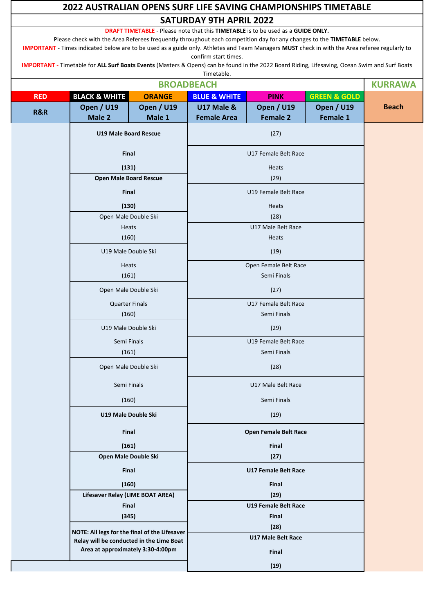|            | 2022 AUSTRALIAN OPENS SURF LIFE SAVING CHAMPIONSHIPS TIMETABLE                                                                                                                                                                                                                                                                                                                                                            |                                                                                    |                                                                                                                        |                                      |                               |                |  |
|------------|---------------------------------------------------------------------------------------------------------------------------------------------------------------------------------------------------------------------------------------------------------------------------------------------------------------------------------------------------------------------------------------------------------------------------|------------------------------------------------------------------------------------|------------------------------------------------------------------------------------------------------------------------|--------------------------------------|-------------------------------|----------------|--|
|            | <b>SATURDAY 9TH APRIL 2022</b>                                                                                                                                                                                                                                                                                                                                                                                            |                                                                                    |                                                                                                                        |                                      |                               |                |  |
|            | Please check with the Area Referees frequently throughout each competition day for any changes to the TIMETABLE below.<br>IMPORTANT - Times indicated below are to be used as a guide only. Athletes and Team Managers MUST check in with the Area referee regularly to<br>IMPORTANT - Timetable for ALL Surf Boats Events (Masters & Opens) can be found in the 2022 Board Riding, Lifesaving, Ocean Swim and Surf Boats |                                                                                    | DRAFT TIMETABLE - Please note that this TIMETABLE is to be used as a GUIDE ONLY.<br>confirm start times.<br>Timetable. |                                      |                               |                |  |
|            |                                                                                                                                                                                                                                                                                                                                                                                                                           |                                                                                    | <b>BROADBEACH</b>                                                                                                      |                                      |                               | <b>KURRAWA</b> |  |
| <b>RED</b> | <b>BLACK &amp; WHITE</b>                                                                                                                                                                                                                                                                                                                                                                                                  | <b>GREEN &amp; GOLD</b><br><b>ORANGE</b><br><b>BLUE &amp; WHITE</b><br><b>PINK</b> |                                                                                                                        |                                      |                               |                |  |
| R&R        | <b>Open / U19</b><br>Male 2                                                                                                                                                                                                                                                                                                                                                                                               | <b>Open / U19</b><br>Male 1                                                        | <b>U17 Male &amp;</b><br><b>Female Area</b>                                                                            | <b>Open / U19</b><br><b>Female 2</b> | <b>Open / U19</b><br>Female 1 | <b>Beach</b>   |  |
|            | <b>U19 Male Board Rescue</b>                                                                                                                                                                                                                                                                                                                                                                                              |                                                                                    |                                                                                                                        | (27)                                 |                               |                |  |
|            | Final                                                                                                                                                                                                                                                                                                                                                                                                                     |                                                                                    |                                                                                                                        | U17 Female Belt Race                 |                               |                |  |
|            | (131)                                                                                                                                                                                                                                                                                                                                                                                                                     |                                                                                    |                                                                                                                        | Heats                                |                               |                |  |
|            | <b>Open Male Board Rescue</b>                                                                                                                                                                                                                                                                                                                                                                                             |                                                                                    |                                                                                                                        | (29)                                 |                               |                |  |
|            | Final                                                                                                                                                                                                                                                                                                                                                                                                                     |                                                                                    |                                                                                                                        | U19 Female Belt Race                 |                               |                |  |
|            | (130)<br>Open Male Double Ski                                                                                                                                                                                                                                                                                                                                                                                             |                                                                                    |                                                                                                                        | Heats<br>(28)                        |                               |                |  |
|            | <b>Heats</b>                                                                                                                                                                                                                                                                                                                                                                                                              |                                                                                    |                                                                                                                        | U17 Male Belt Race                   |                               |                |  |
|            | (160)                                                                                                                                                                                                                                                                                                                                                                                                                     |                                                                                    |                                                                                                                        | Heats                                |                               |                |  |
|            | U19 Male Double Ski                                                                                                                                                                                                                                                                                                                                                                                                       |                                                                                    | (19)                                                                                                                   |                                      |                               |                |  |
|            | <b>Heats</b>                                                                                                                                                                                                                                                                                                                                                                                                              |                                                                                    | Open Female Belt Race                                                                                                  |                                      |                               |                |  |
|            | (161)                                                                                                                                                                                                                                                                                                                                                                                                                     |                                                                                    | Semi Finals                                                                                                            |                                      |                               |                |  |
|            | Open Male Double Ski                                                                                                                                                                                                                                                                                                                                                                                                      |                                                                                    | (27)                                                                                                                   |                                      |                               |                |  |
|            | <b>Quarter Finals</b>                                                                                                                                                                                                                                                                                                                                                                                                     |                                                                                    | U17 Female Belt Race                                                                                                   |                                      |                               |                |  |
|            | (160)                                                                                                                                                                                                                                                                                                                                                                                                                     |                                                                                    |                                                                                                                        |                                      |                               |                |  |
|            | U19 Male Double Ski                                                                                                                                                                                                                                                                                                                                                                                                       |                                                                                    |                                                                                                                        |                                      |                               |                |  |
|            | Semi Finals<br>(161)                                                                                                                                                                                                                                                                                                                                                                                                      |                                                                                    | U19 Female Belt Race                                                                                                   |                                      |                               |                |  |
|            | Open Male Double Ski                                                                                                                                                                                                                                                                                                                                                                                                      |                                                                                    | Semi Finals<br>(28)                                                                                                    |                                      |                               |                |  |
|            | Semi Finals                                                                                                                                                                                                                                                                                                                                                                                                               |                                                                                    | U17 Male Belt Race                                                                                                     |                                      |                               |                |  |
|            | (160)                                                                                                                                                                                                                                                                                                                                                                                                                     |                                                                                    | Semi Finals                                                                                                            |                                      |                               |                |  |
|            | U19 Male Double Ski                                                                                                                                                                                                                                                                                                                                                                                                       |                                                                                    | (19)                                                                                                                   |                                      |                               |                |  |
|            | Final                                                                                                                                                                                                                                                                                                                                                                                                                     |                                                                                    |                                                                                                                        | Open Female Belt Race                |                               |                |  |
|            | (161)                                                                                                                                                                                                                                                                                                                                                                                                                     |                                                                                    |                                                                                                                        | Final                                |                               |                |  |
|            | Open Male Double Ski                                                                                                                                                                                                                                                                                                                                                                                                      |                                                                                    |                                                                                                                        | (27)                                 |                               |                |  |
|            | Final                                                                                                                                                                                                                                                                                                                                                                                                                     |                                                                                    |                                                                                                                        | <b>U17 Female Belt Race</b>          |                               |                |  |
|            | (160)                                                                                                                                                                                                                                                                                                                                                                                                                     |                                                                                    |                                                                                                                        | Final                                |                               |                |  |
|            | Lifesaver Relay (LIME BOAT AREA)<br>Final                                                                                                                                                                                                                                                                                                                                                                                 |                                                                                    |                                                                                                                        | (29)<br><b>U19 Female Belt Race</b>  |                               |                |  |
|            | (345)                                                                                                                                                                                                                                                                                                                                                                                                                     |                                                                                    |                                                                                                                        | Final                                |                               |                |  |
|            | NOTE: All legs for the final of the Lifesaver                                                                                                                                                                                                                                                                                                                                                                             |                                                                                    |                                                                                                                        | (28)                                 |                               |                |  |
|            | Relay will be conducted in the Lime Boat                                                                                                                                                                                                                                                                                                                                                                                  |                                                                                    |                                                                                                                        | <b>U17 Male Belt Race</b>            |                               |                |  |
|            | Area at approximately 3:30-4:00pm                                                                                                                                                                                                                                                                                                                                                                                         |                                                                                    |                                                                                                                        | Final                                |                               |                |  |
|            |                                                                                                                                                                                                                                                                                                                                                                                                                           |                                                                                    | (19)                                                                                                                   |                                      |                               |                |  |

 $\blacksquare$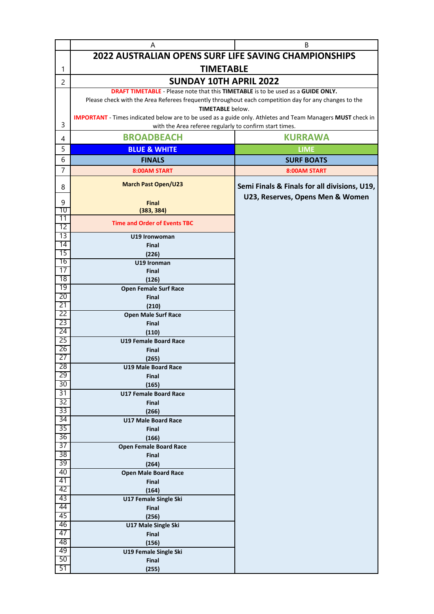|                 | Α                                                                                                                                | B                                                                                |  |  |  |  |  |  |
|-----------------|----------------------------------------------------------------------------------------------------------------------------------|----------------------------------------------------------------------------------|--|--|--|--|--|--|
|                 | 2022 AUSTRALIAN OPENS SURF LIFE SAVING CHAMPIONSHIPS                                                                             |                                                                                  |  |  |  |  |  |  |
| 1               | <b>TIMETABLE</b>                                                                                                                 |                                                                                  |  |  |  |  |  |  |
| $\overline{c}$  | <b>SUNDAY 10TH APRIL 2022</b>                                                                                                    |                                                                                  |  |  |  |  |  |  |
|                 | <b>DRAFT TIMETABLE</b> - Please note that this <b>TIMETABLE</b> is to be used as a <b>GUIDE ONLY.</b>                            |                                                                                  |  |  |  |  |  |  |
|                 | Please check with the Area Referees frequently throughout each competition day for any changes to the<br><b>TIMETABLE</b> below. |                                                                                  |  |  |  |  |  |  |
|                 | <b>IMPORTANT</b> - Times indicated below are to be used as a guide only. Athletes and Team Managers MUST check in                |                                                                                  |  |  |  |  |  |  |
| 3               | with the Area referee regularly to confirm start times.                                                                          |                                                                                  |  |  |  |  |  |  |
| 4               | <b>BROADBEACH</b>                                                                                                                | <b>KURRAWA</b>                                                                   |  |  |  |  |  |  |
| 5               | <b>BLUE &amp; WHITE</b>                                                                                                          | <b>LIME</b>                                                                      |  |  |  |  |  |  |
| 6               | <b>FINALS</b>                                                                                                                    | <b>SURF BOATS</b>                                                                |  |  |  |  |  |  |
| $\overline{7}$  | 8:00AM START                                                                                                                     | 8:00AM START                                                                     |  |  |  |  |  |  |
| 8               | <b>March Past Open/U23</b>                                                                                                       | Semi Finals & Finals for all divisions, U19,<br>U23, Reserves, Opens Men & Women |  |  |  |  |  |  |
| 9               | <b>Final</b>                                                                                                                     |                                                                                  |  |  |  |  |  |  |
| 70<br>11        | (383, 384)                                                                                                                       |                                                                                  |  |  |  |  |  |  |
| 12              | <b>Time and Order of Events TBC</b>                                                                                              |                                                                                  |  |  |  |  |  |  |
| $\overline{13}$ | U19 Ironwoman                                                                                                                    |                                                                                  |  |  |  |  |  |  |
| 14<br>15        | <b>Final</b>                                                                                                                     |                                                                                  |  |  |  |  |  |  |
| 16              | (226)<br>U19 Ironman                                                                                                             |                                                                                  |  |  |  |  |  |  |
| 17              | <b>Final</b>                                                                                                                     |                                                                                  |  |  |  |  |  |  |
| 18              | (126)                                                                                                                            |                                                                                  |  |  |  |  |  |  |
| 19<br>20        | <b>Open Female Surf Race</b>                                                                                                     |                                                                                  |  |  |  |  |  |  |
| 21              | <b>Final</b><br>(210)                                                                                                            |                                                                                  |  |  |  |  |  |  |
| 22              | <b>Open Male Surf Race</b>                                                                                                       |                                                                                  |  |  |  |  |  |  |
| 23              | <b>Final</b>                                                                                                                     |                                                                                  |  |  |  |  |  |  |
| 24<br>25        | (110)<br><b>U19 Female Board Race</b>                                                                                            |                                                                                  |  |  |  |  |  |  |
| 26              | <b>Final</b>                                                                                                                     |                                                                                  |  |  |  |  |  |  |
| 27              | (265)                                                                                                                            |                                                                                  |  |  |  |  |  |  |
| 28              | <b>U19 Male Board Race</b>                                                                                                       |                                                                                  |  |  |  |  |  |  |
| 29<br>30        | <b>Final</b>                                                                                                                     |                                                                                  |  |  |  |  |  |  |
| $\overline{31}$ | (165)<br><b>U17 Female Board Race</b>                                                                                            |                                                                                  |  |  |  |  |  |  |
| 32              | Final                                                                                                                            |                                                                                  |  |  |  |  |  |  |
| 33              | (266)                                                                                                                            |                                                                                  |  |  |  |  |  |  |
| 34<br>35        | <b>U17 Male Board Race</b>                                                                                                       |                                                                                  |  |  |  |  |  |  |
| 36              | Final<br>(166)                                                                                                                   |                                                                                  |  |  |  |  |  |  |
| 37              | <b>Open Female Board Race</b>                                                                                                    |                                                                                  |  |  |  |  |  |  |
| 38              | <b>Final</b>                                                                                                                     |                                                                                  |  |  |  |  |  |  |
| 39<br>40        | (264)                                                                                                                            |                                                                                  |  |  |  |  |  |  |
| 41              | <b>Open Male Board Race</b><br>Final                                                                                             |                                                                                  |  |  |  |  |  |  |
| 42              | (164)                                                                                                                            |                                                                                  |  |  |  |  |  |  |
| 43              | U17 Female Single Ski                                                                                                            |                                                                                  |  |  |  |  |  |  |
| 44<br>45        | Final                                                                                                                            |                                                                                  |  |  |  |  |  |  |
| 46              | (256)<br><b>U17 Male Single Ski</b>                                                                                              |                                                                                  |  |  |  |  |  |  |
| 47              | Final                                                                                                                            |                                                                                  |  |  |  |  |  |  |
| 48              | (156)                                                                                                                            |                                                                                  |  |  |  |  |  |  |
| 49              | U19 Female Single Ski                                                                                                            |                                                                                  |  |  |  |  |  |  |
| 50<br>51        | Final<br>(255)                                                                                                                   |                                                                                  |  |  |  |  |  |  |
|                 |                                                                                                                                  |                                                                                  |  |  |  |  |  |  |